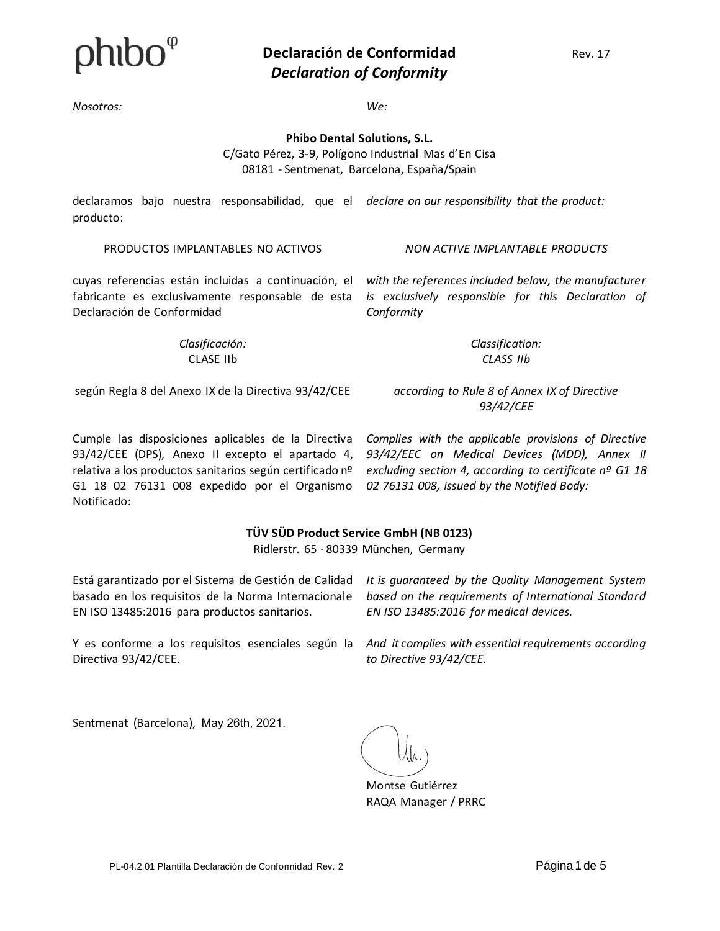

#### **Declaración de Conformidad** Rev. 17 *Declaration of Conformity*

*Nosotros: We:*

*Conformity*

**Phibo Dental Solutions, S.L.**

C/Gato Pérez, 3-9, Polígono Industrial Mas d'En Cisa 08181 - Sentmenat, Barcelona, España/Spain

declaramos bajo nuestra responsabilidad, que el declare on our responsibility that the product: producto:

PRODUCTOS IMPLANTABLES NO ACTIVOS *NON ACTIVE IMPLANTABLE PRODUCTS*

*with the references included below, the manufacturer is exclusively responsible for this Declaration of* 

cuyas referencias están incluidas a continuación, el fabricante es exclusivamente responsable de esta Declaración de Conformidad

> *Clasificación:* CLASE IIb

según Regla 8 del Anexo IX de la Directiva 93/42/CEE

*according to Rule 8 of Annex IX of Directive 93/42/CEE* 

*Classification: CLASS IIb*

Cumple las disposiciones aplicables de la Directiva 93/42/CEE (DPS), Anexo II excepto el apartado 4,

relativa a los productos sanitarios según certificado nº G1 18 02 76131 008 expedido por el Organismo Notificado:

#### **TÜV SÜD Product Service GmbH (NB 0123)**

Ridlerstr. 65 · 80339 München, Germany

Está garantizado por el Sistema de Gestión de Calidad basado en los requisitos de la Norma Internacionale EN ISO 13485:2016 para productos sanitarios.

*It is guaranteed by the Quality Management System based on the requirements of International Standard EN ISO 13485:2016 for medical devices.*

Y es conforme a los requisitos esenciales según la *And it complies with essential requirements according*  Directiva 93/42/CEE.

*to Directive 93/42/CEE.*

Sentmenat (Barcelona), May 26th, 2021.

Montse Gutiérrez RAQA Manager / PRRC

*Complies with the applicable provisions of Directive 93/42/EEC on Medical Devices (MDD), Annex II excluding section 4, according to certificate nº G1 18 02 76131 008, issued by the Notified Body:*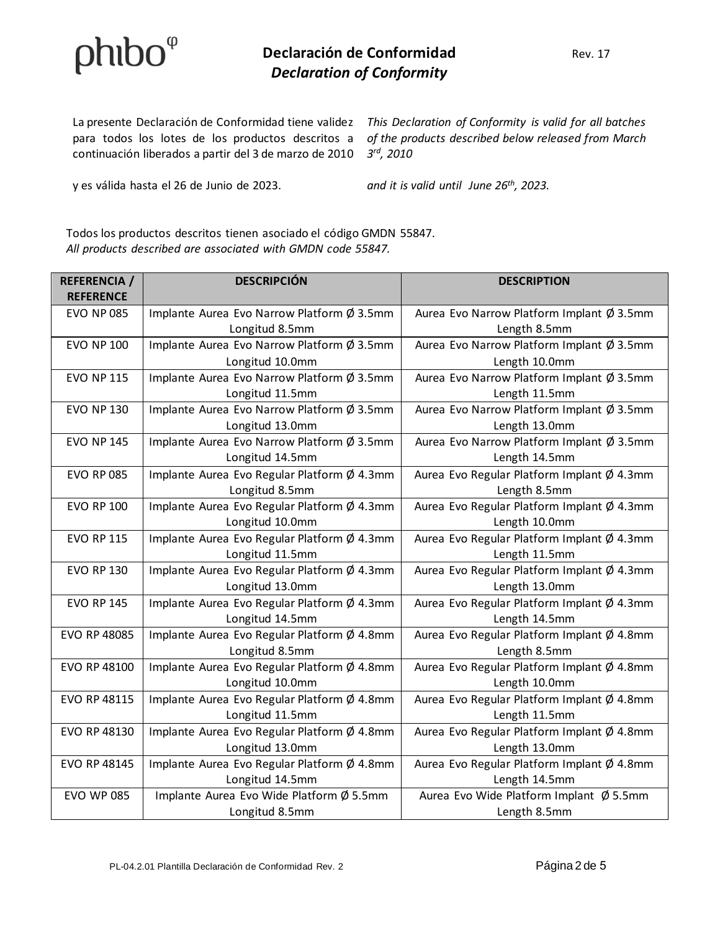# $phibo^{\varphi}$

### **Declaración de Conformidad** Rev. 17 *Declaration of Conformity*

para todos los lotes de los productos descritos a continuación liberados a partir del 3 de marzo de 2010 *3 rd, 2010*

y es válida hasta el 26 de Junio de 2023. *and it is valid until June 26th, 2023.*

La presente Declaración de Conformidad tiene validez This Declaration of Conformity is valid for all batches *of the products described below released from March* 

Todos los productos descritos tienen asociado el código GMDN 55847. *All products described are associated with GMDN code 55847.*

| <b>REFERENCIA</b> / | <b>DESCRIPCIÓN</b>                          | <b>DESCRIPTION</b>                         |
|---------------------|---------------------------------------------|--------------------------------------------|
| <b>REFERENCE</b>    |                                             |                                            |
| <b>EVO NP 085</b>   | Implante Aurea Evo Narrow Platform Ø 3.5mm  | Aurea Evo Narrow Platform Implant Ø 3.5mm  |
|                     | Longitud 8.5mm                              | Length 8.5mm                               |
| <b>EVO NP 100</b>   | Implante Aurea Evo Narrow Platform Ø 3.5mm  | Aurea Evo Narrow Platform Implant Ø 3.5mm  |
|                     | Longitud 10.0mm                             | Length 10.0mm                              |
| <b>EVO NP 115</b>   | Implante Aurea Evo Narrow Platform Ø 3.5mm  | Aurea Evo Narrow Platform Implant Ø 3.5mm  |
|                     | Longitud 11.5mm                             | Length 11.5mm                              |
| <b>EVO NP 130</b>   | Implante Aurea Evo Narrow Platform Ø 3.5mm  | Aurea Evo Narrow Platform Implant Ø 3.5mm  |
|                     | Longitud 13.0mm                             | Length 13.0mm                              |
| <b>EVO NP 145</b>   | Implante Aurea Evo Narrow Platform Ø 3.5mm  | Aurea Evo Narrow Platform Implant Ø 3.5mm  |
|                     | Longitud 14.5mm                             | Length 14.5mm                              |
| <b>EVO RP 085</b>   | Implante Aurea Evo Regular Platform Ø 4.3mm | Aurea Evo Regular Platform Implant Ø 4.3mm |
|                     | Longitud 8.5mm                              | Length 8.5mm                               |
| <b>EVO RP 100</b>   | Implante Aurea Evo Regular Platform Ø 4.3mm | Aurea Evo Regular Platform Implant Ø 4.3mm |
|                     | Longitud 10.0mm                             | Length 10.0mm                              |
| <b>EVO RP 115</b>   | Implante Aurea Evo Regular Platform Ø 4.3mm | Aurea Evo Regular Platform Implant Ø 4.3mm |
|                     | Longitud 11.5mm                             | Length 11.5mm                              |
| <b>EVO RP 130</b>   | Implante Aurea Evo Regular Platform Ø 4.3mm | Aurea Evo Regular Platform Implant Ø 4.3mm |
|                     | Longitud 13.0mm                             | Length 13.0mm                              |
| <b>EVO RP 145</b>   | Implante Aurea Evo Regular Platform Ø 4.3mm | Aurea Evo Regular Platform Implant Ø 4.3mm |
|                     | Longitud 14.5mm                             | Length 14.5mm                              |
| <b>EVO RP 48085</b> | Implante Aurea Evo Regular Platform Ø 4.8mm | Aurea Evo Regular Platform Implant Ø 4.8mm |
|                     | Longitud 8.5mm                              | Length 8.5mm                               |
| EVO RP 48100        | Implante Aurea Evo Regular Platform Ø 4.8mm | Aurea Evo Regular Platform Implant Ø 4.8mm |
|                     | Longitud 10.0mm                             | Length 10.0mm                              |
| EVO RP 48115        | Implante Aurea Evo Regular Platform Ø 4.8mm | Aurea Evo Regular Platform Implant Ø 4.8mm |
|                     | Longitud 11.5mm                             | Length 11.5mm                              |
| EVO RP 48130        | Implante Aurea Evo Regular Platform Ø 4.8mm | Aurea Evo Regular Platform Implant Ø 4.8mm |
|                     | Longitud 13.0mm                             | Length 13.0mm                              |
| EVO RP 48145        | Implante Aurea Evo Regular Platform Ø 4.8mm | Aurea Evo Regular Platform Implant Ø 4.8mm |
|                     | Longitud 14.5mm                             | Length 14.5mm                              |
| <b>EVO WP 085</b>   | Implante Aurea Evo Wide Platform Ø 5.5mm    | Aurea Evo Wide Platform Implant Ø 5.5mm    |
|                     | Longitud 8.5mm                              | Length 8.5mm                               |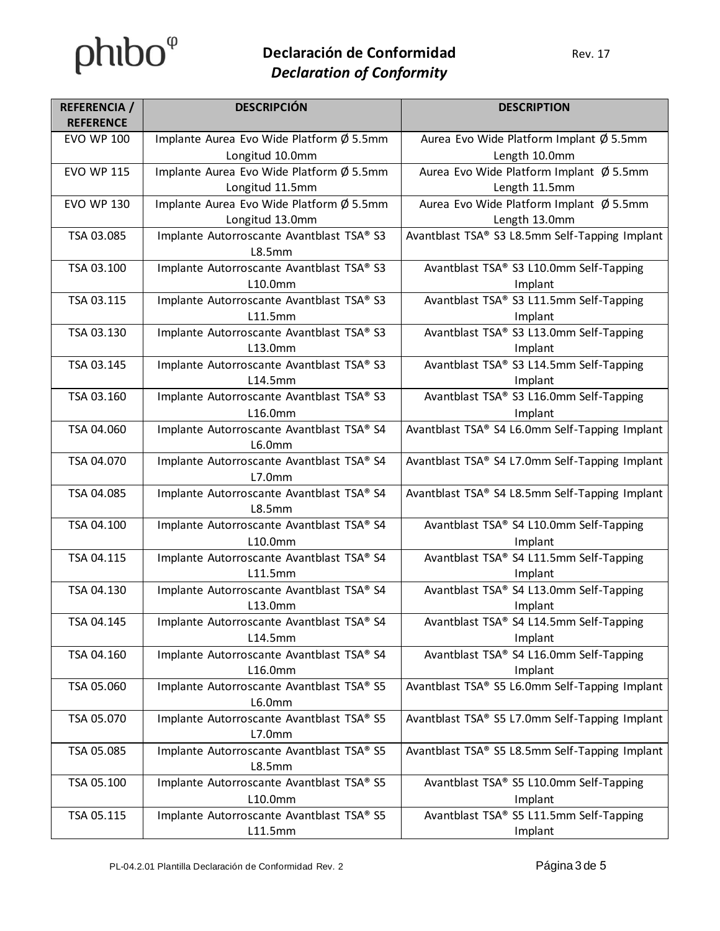## **Declaración de Conformidad** Rev. 17 *Declaration of Conformity*

| <b>REFERENCIA</b> /<br><b>REFERENCE</b> | <b>DESCRIPCIÓN</b>                                  | <b>DESCRIPTION</b>                             |
|-----------------------------------------|-----------------------------------------------------|------------------------------------------------|
| <b>EVO WP 100</b>                       | Implante Aurea Evo Wide Platform Ø 5.5mm            | Aurea Evo Wide Platform Implant Ø 5.5mm        |
|                                         | Longitud 10.0mm                                     | Length 10.0mm                                  |
| <b>EVO WP 115</b>                       | Implante Aurea Evo Wide Platform Ø 5.5mm            | Aurea Evo Wide Platform Implant Ø 5.5mm        |
|                                         | Longitud 11.5mm                                     | Length 11.5mm                                  |
| <b>EVO WP 130</b>                       | Implante Aurea Evo Wide Platform Ø 5.5mm            | Aurea Evo Wide Platform Implant Ø 5.5mm        |
|                                         | Longitud 13.0mm                                     | Length 13.0mm                                  |
| TSA 03.085                              | Implante Autorroscante Avantblast TSA® S3           | Avantblast TSA® S3 L8.5mm Self-Tapping Implant |
|                                         | L8.5mm                                              |                                                |
| TSA 03.100                              | Implante Autorroscante Avantblast TSA® S3           | Avantblast TSA® S3 L10.0mm Self-Tapping        |
|                                         | L10.0mm                                             | Implant                                        |
| TSA 03.115                              | Implante Autorroscante Avantblast TSA® S3           | Avantblast TSA® S3 L11.5mm Self-Tapping        |
|                                         | L11.5mm                                             | Implant                                        |
| TSA 03.130                              | Implante Autorroscante Avantblast TSA® S3           | Avantblast TSA® S3 L13.0mm Self-Tapping        |
|                                         | L13.0mm                                             | Implant                                        |
| TSA 03.145                              | Implante Autorroscante Avantblast TSA® S3           | Avantblast TSA® S3 L14.5mm Self-Tapping        |
|                                         | L14.5mm                                             | Implant                                        |
| TSA 03.160                              | Implante Autorroscante Avantblast TSA® S3           | Avantblast TSA® S3 L16.0mm Self-Tapping        |
|                                         | L16.0mm                                             | Implant                                        |
| TSA 04.060                              | Implante Autorroscante Avantblast TSA® S4           | Avantblast TSA® S4 L6.0mm Self-Tapping Implant |
|                                         | L6.0mm                                              |                                                |
| TSA 04.070                              | Implante Autorroscante Avantblast TSA® S4           | Avantblast TSA® S4 L7.0mm Self-Tapping Implant |
|                                         | L7.0mm                                              |                                                |
| TSA 04.085                              | Implante Autorroscante Avantblast TSA® S4<br>L8.5mm | Avantblast TSA® S4 L8.5mm Self-Tapping Implant |
| TSA 04.100                              | Implante Autorroscante Avantblast TSA® S4           | Avantblast TSA® S4 L10.0mm Self-Tapping        |
|                                         | L10.0mm                                             | Implant                                        |
| TSA 04.115                              | Implante Autorroscante Avantblast TSA® S4           | Avantblast TSA® S4 L11.5mm Self-Tapping        |
|                                         | L11.5mm                                             | Implant                                        |
| TSA 04.130                              | Implante Autorroscante Avantblast TSA® S4           | Avantblast TSA® S4 L13.0mm Self-Tapping        |
|                                         | L13.0mm                                             | Implant                                        |
| TSA 04.145                              | Implante Autorroscante Avantblast TSA® S4           | Avantblast TSA® S4 L14.5mm Self-Tapping        |
|                                         | L14.5mm                                             | Implant                                        |
| TSA 04.160                              | Implante Autorroscante Avantblast TSA® S4           | Avantblast TSA® S4 L16.0mm Self-Tapping        |
|                                         | L16.0mm                                             | Implant                                        |
| TSA 05.060                              | Implante Autorroscante Avantblast TSA® S5           | Avantblast TSA® S5 L6.0mm Self-Tapping Implant |
|                                         | L6.0mm                                              |                                                |
| TSA 05.070                              | Implante Autorroscante Avantblast TSA® S5           | Avantblast TSA® S5 L7.0mm Self-Tapping Implant |
|                                         | L7.0mm                                              |                                                |
| TSA 05.085                              | Implante Autorroscante Avantblast TSA® S5           | Avantblast TSA® S5 L8.5mm Self-Tapping Implant |
|                                         | L8.5mm                                              |                                                |
| TSA 05.100                              | Implante Autorroscante Avantblast TSA® S5           | Avantblast TSA® S5 L10.0mm Self-Tapping        |
|                                         | L10.0mm                                             | Implant                                        |
| TSA 05.115                              | Implante Autorroscante Avantblast TSA® S5           | Avantblast TSA® S5 L11.5mm Self-Tapping        |
|                                         | L11.5mm                                             | Implant                                        |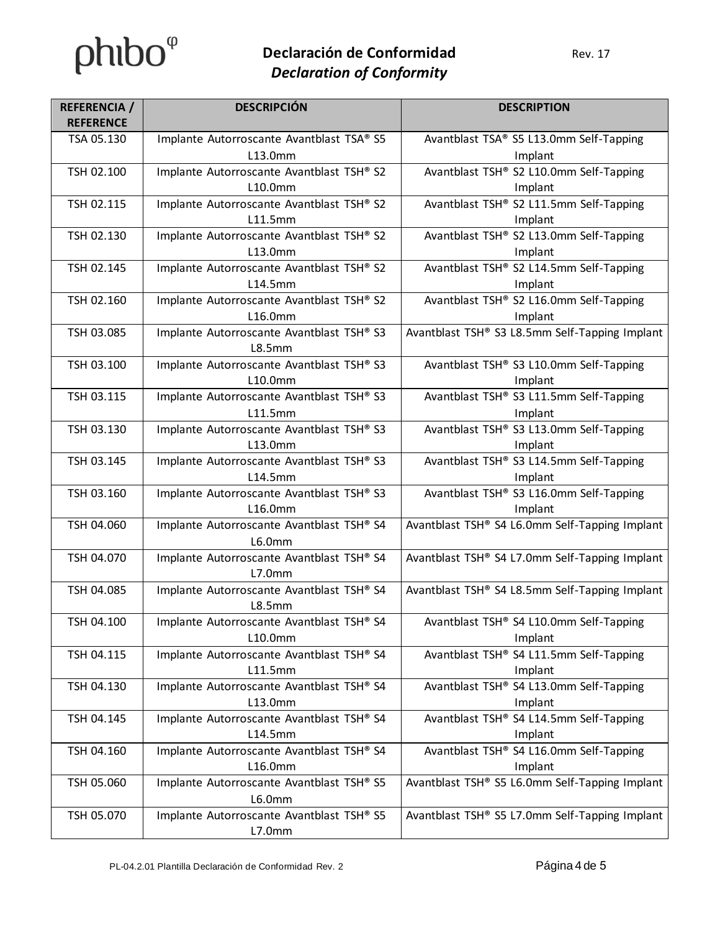# $phibo^{\varphi}$

## **Declaración de Conformidad** Rev. 17 *Declaration of Conformity*

| <b>REFERENCIA</b> /<br><b>REFERENCE</b> | <b>DESCRIPCIÓN</b>                                  | <b>DESCRIPTION</b>                             |
|-----------------------------------------|-----------------------------------------------------|------------------------------------------------|
| TSA 05.130                              | Implante Autorroscante Avantblast TSA® S5           | Avantblast TSA® S5 L13.0mm Self-Tapping        |
|                                         | L13.0mm                                             | Implant                                        |
| TSH 02.100                              | Implante Autorroscante Avantblast TSH® S2           | Avantblast TSH® S2 L10.0mm Self-Tapping        |
|                                         | L10.0mm                                             | Implant                                        |
| TSH 02.115                              | Implante Autorroscante Avantblast TSH® S2           | Avantblast TSH® S2 L11.5mm Self-Tapping        |
|                                         | L11.5mm                                             | Implant                                        |
| TSH 02.130                              | Implante Autorroscante Avantblast TSH® S2           | Avantblast TSH® S2 L13.0mm Self-Tapping        |
|                                         | L13.0mm                                             | Implant                                        |
| TSH 02.145                              | Implante Autorroscante Avantblast TSH® S2           | Avantblast TSH® S2 L14.5mm Self-Tapping        |
|                                         | L14.5mm                                             | Implant                                        |
| TSH 02.160                              | Implante Autorroscante Avantblast TSH® S2           | Avantblast TSH® S2 L16.0mm Self-Tapping        |
|                                         | L16.0mm                                             | Implant                                        |
| TSH 03.085                              | Implante Autorroscante Avantblast TSH® S3<br>L8.5mm | Avantblast TSH® S3 L8.5mm Self-Tapping Implant |
| TSH 03.100                              | Implante Autorroscante Avantblast TSH® S3           | Avantblast TSH® S3 L10.0mm Self-Tapping        |
|                                         | L10.0mm                                             | Implant                                        |
| TSH 03.115                              | Implante Autorroscante Avantblast TSH® S3           | Avantblast TSH® S3 L11.5mm Self-Tapping        |
|                                         | L11.5mm                                             | Implant                                        |
| TSH 03.130                              | Implante Autorroscante Avantblast TSH® S3           | Avantblast TSH® S3 L13.0mm Self-Tapping        |
|                                         | L13.0mm                                             | Implant                                        |
| TSH 03.145                              | Implante Autorroscante Avantblast TSH® S3           | Avantblast TSH® S3 L14.5mm Self-Tapping        |
|                                         | L14.5mm                                             | Implant                                        |
| TSH 03.160                              | Implante Autorroscante Avantblast TSH® S3           | Avantblast TSH® S3 L16.0mm Self-Tapping        |
|                                         | L16.0mm                                             | Implant                                        |
| TSH 04.060                              | Implante Autorroscante Avantblast TSH® S4           | Avantblast TSH® S4 L6.0mm Self-Tapping Implant |
|                                         | L6.0mm                                              |                                                |
| TSH 04.070                              | Implante Autorroscante Avantblast TSH® S4<br>L7.0mm | Avantblast TSH® S4 L7.0mm Self-Tapping Implant |
| TSH 04.085                              | Implante Autorroscante Avantblast TSH® S4           | Avantblast TSH® S4 L8.5mm Self-Tapping Implant |
|                                         | L8.5mm                                              |                                                |
| TSH 04.100                              | Implante Autorroscante Avantblast TSH® S4           | Avantblast TSH® S4 L10.0mm Self-Tapping        |
|                                         | L10.0mm                                             | Implant                                        |
| TSH 04.115                              | Implante Autorroscante Avantblast TSH® S4           | Avantblast TSH® S4 L11.5mm Self-Tapping        |
|                                         | L11.5mm                                             | Implant                                        |
| TSH 04.130                              | Implante Autorroscante Avantblast TSH® S4           | Avantblast TSH® S4 L13.0mm Self-Tapping        |
|                                         | L13.0mm                                             | Implant                                        |
| TSH 04.145                              | Implante Autorroscante Avantblast TSH® S4           | Avantblast TSH® S4 L14.5mm Self-Tapping        |
|                                         | L14.5mm                                             | Implant                                        |
| TSH 04.160                              | Implante Autorroscante Avantblast TSH® S4           | Avantblast TSH® S4 L16.0mm Self-Tapping        |
|                                         | L16.0mm                                             | Implant                                        |
| TSH 05.060                              | Implante Autorroscante Avantblast TSH® S5           | Avantblast TSH® S5 L6.0mm Self-Tapping Implant |
|                                         | L6.0mm                                              |                                                |
| TSH 05.070                              | Implante Autorroscante Avantblast TSH® S5           | Avantblast TSH® S5 L7.0mm Self-Tapping Implant |
|                                         | L7.0mm                                              |                                                |